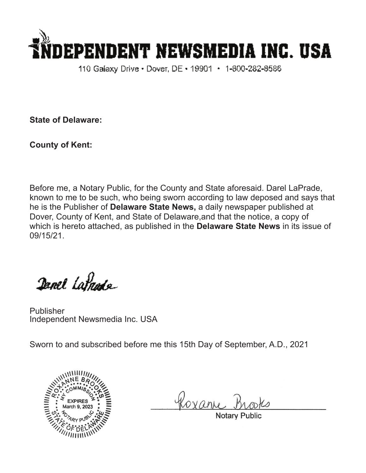

110 Galaxy Drive • Dover, DE • 19901 • 1-800-282-8586

**State of Delaware:**

**County of Kent:**

Before me, a Notary Public, for the County and State aforesaid. Darel LaPrade, known to me to be such, who being sworn according to law deposed and says that he is the Publisher of **Delaware State News,** a daily newspaper published at Dover, County of Kent, and State of Delaware,and that the notice, a copy of which is hereto attached, as published in the **Delaware State News** in its issue of 09/15/21.

Danel Latnade

Publisher Independent Newsmedia Inc. USA

Sworn to and subscribed before me this 15th Day of September, A.D., 2021



Roxan

Notary Pub